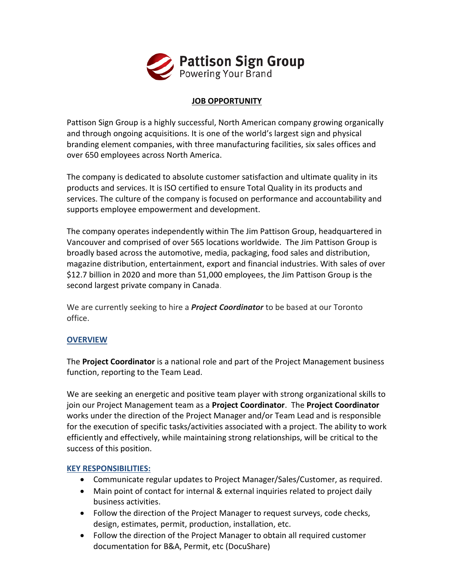

## **JOB OPPORTUNITY**

Pattison Sign Group is a highly successful, North American company growing organically and through ongoing acquisitions. It is one of the world's largest sign and physical branding element companies, with three manufacturing facilities, six sales offices and over 650 employees across North America.

The company is dedicated to absolute customer satisfaction and ultimate quality in its products and services. It is ISO certified to ensure Total Quality in its products and services. The culture of the company is focused on performance and accountability and supports employee empowerment and development.

The company operates independently within The Jim Pattison Group, headquartered in Vancouver and comprised of over 565 locations worldwide. The Jim Pattison Group is broadly based across the automotive, media, packaging, food sales and distribution, magazine distribution, entertainment, export and financial industries. With sales of over \$12.7 billion in 2020 and more than 51,000 employees, the Jim Pattison Group is the second largest private company in Canada.

We are currently seeking to hire a *Project Coordinator* to be based at our Toronto office.

## **OVERVIEW**

The **Project Coordinator** is a national role and part of the Project Management business function, reporting to the Team Lead.

We are seeking an energetic and positive team player with strong organizational skills to join our Project Management team as a **Project Coordinator**. The **Project Coordinator** works under the direction of the Project Manager and/or Team Lead and is responsible for the execution of specific tasks/activities associated with a project. The ability to work efficiently and effectively, while maintaining strong relationships, will be critical to the success of this position.

## **KEY RESPONSIBILITIES:**

- Communicate regular updates to Project Manager/Sales/Customer, as required.
- Main point of contact for internal & external inquiries related to project daily business activities.
- Follow the direction of the Project Manager to request surveys, code checks, design, estimates, permit, production, installation, etc.
- Follow the direction of the Project Manager to obtain all required customer documentation for B&A, Permit, etc (DocuShare)